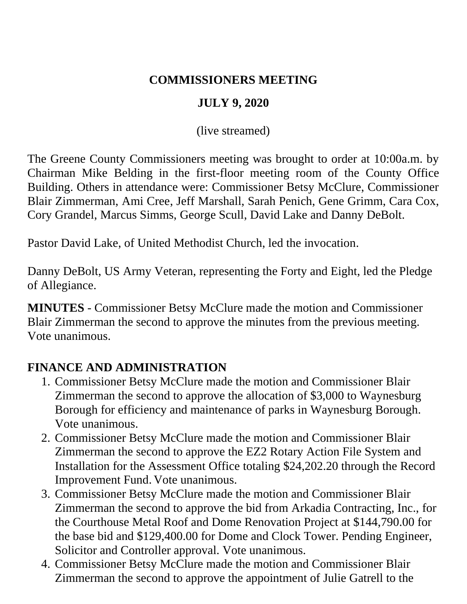#### **COMMISSIONERS MEETING**

### **JULY 9, 2020**

(live streamed)

The Greene County Commissioners meeting was brought to order at 10:00a.m. by Chairman Mike Belding in the first-floor meeting room of the County Office Building. Others in attendance were: Commissioner Betsy McClure, Commissioner Blair Zimmerman, Ami Cree, Jeff Marshall, Sarah Penich, Gene Grimm, Cara Cox, Cory Grandel, Marcus Simms, George Scull, David Lake and Danny DeBolt.

Pastor David Lake, of United Methodist Church, led the invocation.

Danny DeBolt, US Army Veteran, representing the Forty and Eight, led the Pledge of Allegiance.

**MINUTES** - Commissioner Betsy McClure made the motion and Commissioner Blair Zimmerman the second to approve the minutes from the previous meeting. Vote unanimous.

### **FINANCE AND ADMINISTRATION**

- 1. Commissioner Betsy McClure made the motion and Commissioner Blair Zimmerman the second to approve the allocation of \$3,000 to Waynesburg Borough for efficiency and maintenance of parks in Waynesburg Borough. Vote unanimous.
- 2. Commissioner Betsy McClure made the motion and Commissioner Blair Zimmerman the second to approve the EZ2 Rotary Action File System and Installation for the Assessment Office totaling \$24,202.20 through the Record Improvement Fund. Vote unanimous.
- 3. Commissioner Betsy McClure made the motion and Commissioner Blair Zimmerman the second to approve the bid from Arkadia Contracting, Inc., for the Courthouse Metal Roof and Dome Renovation Project at \$144,790.00 for the base bid and \$129,400.00 for Dome and Clock Tower. Pending Engineer, Solicitor and Controller approval. Vote unanimous.
- 4. Commissioner Betsy McClure made the motion and Commissioner Blair Zimmerman the second to approve the appointment of Julie Gatrell to the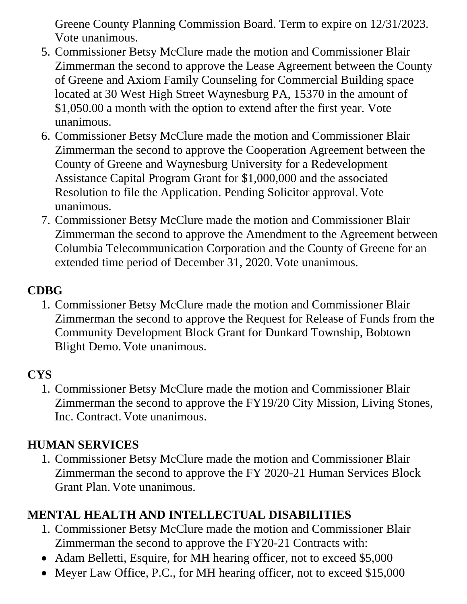Greene County Planning Commission Board. Term to expire on 12/31/2023. Vote unanimous.

- 5. Commissioner Betsy McClure made the motion and Commissioner Blair Zimmerman the second to approve the Lease Agreement between the County of Greene and Axiom Family Counseling for Commercial Building space located at 30 West High Street Waynesburg PA, 15370 in the amount of \$1,050.00 a month with the option to extend after the first year. Vote unanimous.
- 6. Commissioner Betsy McClure made the motion and Commissioner Blair Zimmerman the second to approve the Cooperation Agreement between the County of Greene and Waynesburg University for a Redevelopment Assistance Capital Program Grant for \$1,000,000 and the associated Resolution to file the Application. Pending Solicitor approval. Vote unanimous.
- 7. Commissioner Betsy McClure made the motion and Commissioner Blair Zimmerman the second to approve the Amendment to the Agreement between Columbia Telecommunication Corporation and the County of Greene for an extended time period of December 31, 2020. Vote unanimous.

## **CDBG**

1. Commissioner Betsy McClure made the motion and Commissioner Blair Zimmerman the second to approve the Request for Release of Funds from the Community Development Block Grant for Dunkard Township, Bobtown Blight Demo. Vote unanimous.

# **CYS**

1. Commissioner Betsy McClure made the motion and Commissioner Blair Zimmerman the second to approve the FY19/20 City Mission, Living Stones, Inc. Contract. Vote unanimous.

# **HUMAN SERVICES**

1. Commissioner Betsy McClure made the motion and Commissioner Blair Zimmerman the second to approve the FY 2020-21 Human Services Block Grant Plan. Vote unanimous.

# **MENTAL HEALTH AND INTELLECTUAL DISABILITIES**

- 1. Commissioner Betsy McClure made the motion and Commissioner Blair Zimmerman the second to approve the FY20-21 Contracts with:
- Adam Belletti, Esquire, for MH hearing officer, not to exceed \$5,000
- Meyer Law Office, P.C., for MH hearing officer, not to exceed \$15,000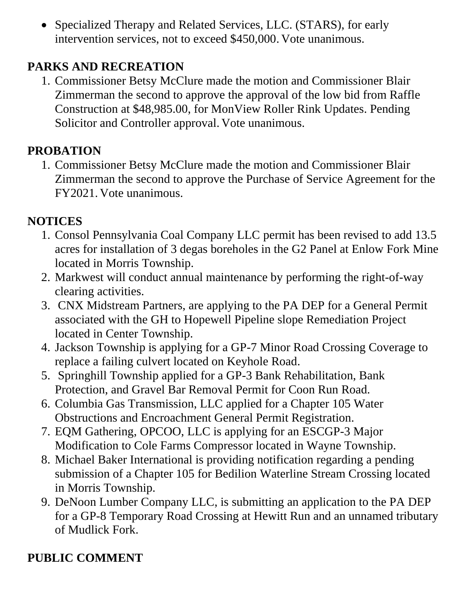• Specialized Therapy and Related Services, LLC. (STARS), for early intervention services, not to exceed \$450,000. Vote unanimous.

### **PARKS AND RECREATION**

1. Commissioner Betsy McClure made the motion and Commissioner Blair Zimmerman the second to approve the approval of the low bid from Raffle Construction at \$48,985.00, for MonView Roller Rink Updates. Pending Solicitor and Controller approval. Vote unanimous.

## **PROBATION**

1. Commissioner Betsy McClure made the motion and Commissioner Blair Zimmerman the second to approve the Purchase of Service Agreement for the FY2021. Vote unanimous.

## **NOTICES**

- 1. Consol Pennsylvania Coal Company LLC permit has been revised to add 13.5 acres for installation of 3 degas boreholes in the G2 Panel at Enlow Fork Mine located in Morris Township.
- 2. Markwest will conduct annual maintenance by performing the right-of-way clearing activities.
- 3. CNX Midstream Partners, are applying to the PA DEP for a General Permit associated with the GH to Hopewell Pipeline slope Remediation Project located in Center Township.
- 4. Jackson Township is applying for a GP-7 Minor Road Crossing Coverage to replace a failing culvert located on Keyhole Road.
- 5. Springhill Township applied for a GP-3 Bank Rehabilitation, Bank Protection, and Gravel Bar Removal Permit for Coon Run Road.
- 6. Columbia Gas Transmission, LLC applied for a Chapter 105 Water Obstructions and Encroachment General Permit Registration.
- 7. EQM Gathering, OPCOO, LLC is applying for an ESCGP-3 Major Modification to Cole Farms Compressor located in Wayne Township.
- 8. Michael Baker International is providing notification regarding a pending submission of a Chapter 105 for Bedilion Waterline Stream Crossing located in Morris Township.
- 9. DeNoon Lumber Company LLC, is submitting an application to the PA DEP for a GP-8 Temporary Road Crossing at Hewitt Run and an unnamed tributary of Mudlick Fork.

# **PUBLIC COMMENT**